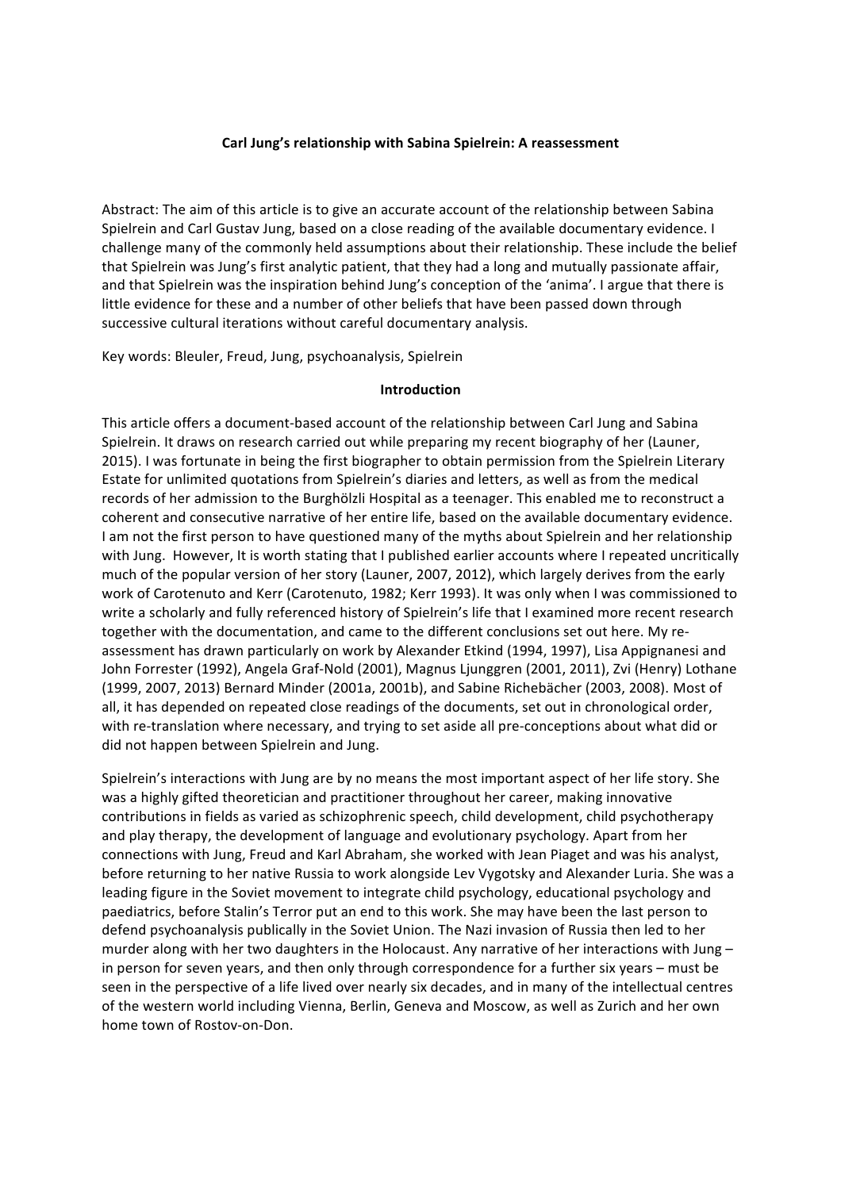### Carl Jung's relationship with Sabina Spielrein: A reassessment

Abstract: The aim of this article is to give an accurate account of the relationship between Sabina Spielrein and Carl Gustav Jung, based on a close reading of the available documentary evidence. I challenge many of the commonly held assumptions about their relationship. These include the belief that Spielrein was Jung's first analytic patient, that they had a long and mutually passionate affair, and that Spielrein was the inspiration behind Jung's conception of the 'anima'. I argue that there is little evidence for these and a number of other beliefs that have been passed down through successive cultural iterations without careful documentary analysis.

Key words: Bleuler, Freud, Jung, psychoanalysis, Spielrein

#### **Introduction**

This article offers a document-based account of the relationship between Carl Jung and Sabina Spielrein. It draws on research carried out while preparing my recent biography of her (Launer, 2015). I was fortunate in being the first biographer to obtain permission from the Spielrein Literary Estate for unlimited quotations from Spielrein's diaries and letters, as well as from the medical records of her admission to the Burghölzli Hospital as a teenager. This enabled me to reconstruct a coherent and consecutive narrative of her entire life, based on the available documentary evidence. I am not the first person to have questioned many of the myths about Spielrein and her relationship with Jung. However, It is worth stating that I published earlier accounts where I repeated uncritically much of the popular version of her story (Launer, 2007, 2012), which largely derives from the early work of Carotenuto and Kerr (Carotenuto, 1982; Kerr 1993). It was only when I was commissioned to write a scholarly and fully referenced history of Spielrein's life that I examined more recent research together with the documentation, and came to the different conclusions set out here. My reassessment has drawn particularly on work by Alexander Etkind (1994, 1997), Lisa Appignanesi and John Forrester (1992), Angela Graf-Nold (2001), Magnus Ljunggren (2001, 2011), Zvi (Henry) Lothane (1999, 2007, 2013) Bernard Minder (2001a, 2001b), and Sabine Richebächer (2003, 2008). Most of all, it has depended on repeated close readings of the documents, set out in chronological order, with re-translation where necessary, and trying to set aside all pre-conceptions about what did or did not happen between Spielrein and Jung.

Spielrein's interactions with Jung are by no means the most important aspect of her life story. She was a highly gifted theoretician and practitioner throughout her career, making innovative contributions in fields as varied as schizophrenic speech, child development, child psychotherapy and play therapy, the development of language and evolutionary psychology. Apart from her connections with Jung, Freud and Karl Abraham, she worked with Jean Piaget and was his analyst, before returning to her native Russia to work alongside Lev Vygotsky and Alexander Luria. She was a leading figure in the Soviet movement to integrate child psychology, educational psychology and paediatrics, before Stalin's Terror put an end to this work. She may have been the last person to defend psychoanalysis publically in the Soviet Union. The Nazi invasion of Russia then led to her murder along with her two daughters in the Holocaust. Any narrative of her interactions with Jung in person for seven years, and then only through correspondence for a further six years – must be seen in the perspective of a life lived over nearly six decades, and in many of the intellectual centres of the western world including Vienna, Berlin, Geneva and Moscow, as well as Zurich and her own home town of Rostov-on-Don.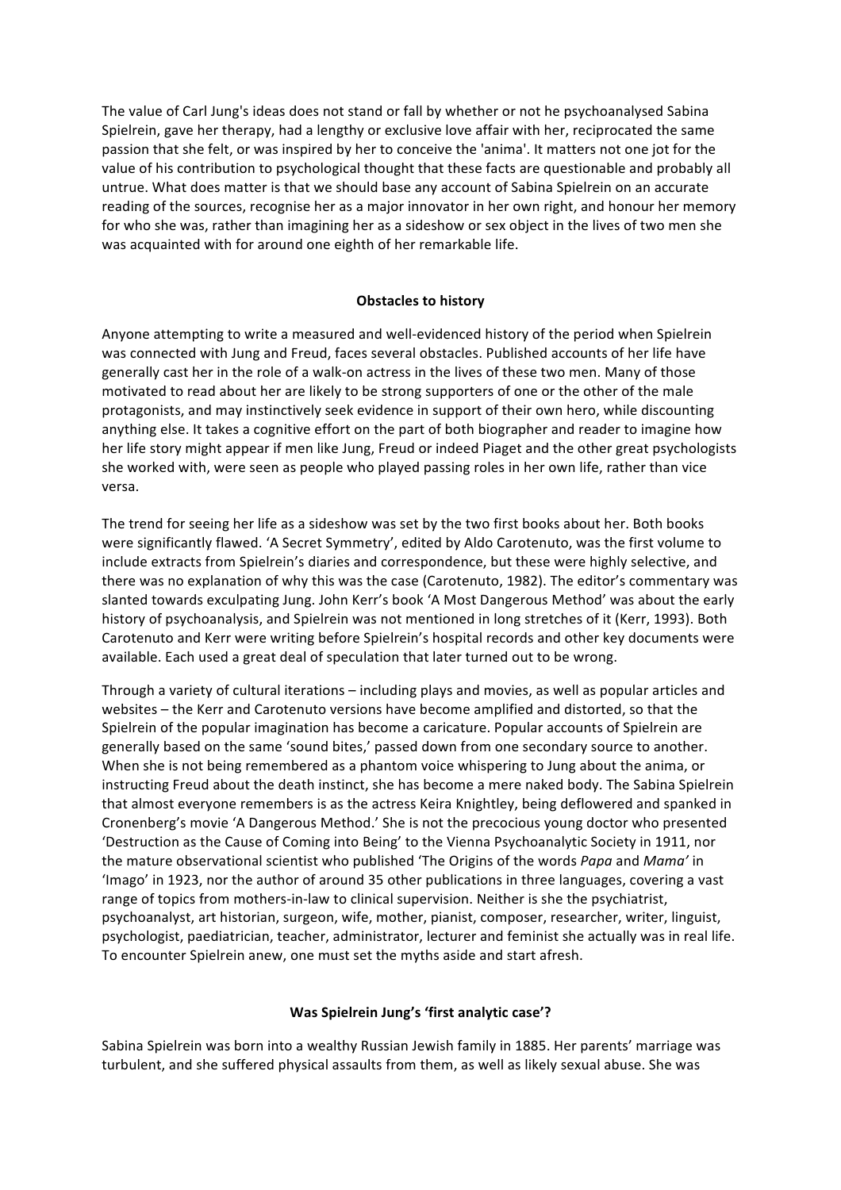The value of Carl Jung's ideas does not stand or fall by whether or not he psychoanalysed Sabina Spielrein, gave her therapy, had a lengthy or exclusive love affair with her, reciprocated the same passion that she felt, or was inspired by her to conceive the 'anima'. It matters not one jot for the value of his contribution to psychological thought that these facts are questionable and probably all untrue. What does matter is that we should base any account of Sabina Spielrein on an accurate reading of the sources, recognise her as a major innovator in her own right, and honour her memory for who she was, rather than imagining her as a sideshow or sex object in the lives of two men she was acquainted with for around one eighth of her remarkable life.

# **Obstacles to history**

Anyone attempting to write a measured and well-evidenced history of the period when Spielrein was connected with Jung and Freud, faces several obstacles. Published accounts of her life have generally cast her in the role of a walk-on actress in the lives of these two men. Many of those motivated to read about her are likely to be strong supporters of one or the other of the male protagonists, and may instinctively seek evidence in support of their own hero, while discounting anything else. It takes a cognitive effort on the part of both biographer and reader to imagine how her life story might appear if men like Jung, Freud or indeed Piaget and the other great psychologists she worked with, were seen as people who played passing roles in her own life, rather than vice versa. 

The trend for seeing her life as a sideshow was set by the two first books about her. Both books were significantly flawed. 'A Secret Symmetry', edited by Aldo Carotenuto, was the first volume to include extracts from Spielrein's diaries and correspondence, but these were highly selective, and there was no explanation of why this was the case (Carotenuto, 1982). The editor's commentary was slanted towards exculpating Jung. John Kerr's book 'A Most Dangerous Method' was about the early history of psychoanalysis, and Spielrein was not mentioned in long stretches of it (Kerr, 1993). Both Carotenuto and Kerr were writing before Spielrein's hospital records and other key documents were available. Each used a great deal of speculation that later turned out to be wrong.

Through a variety of cultural iterations – including plays and movies, as well as popular articles and websites – the Kerr and Carotenuto versions have become amplified and distorted, so that the Spielrein of the popular imagination has become a caricature. Popular accounts of Spielrein are generally based on the same 'sound bites,' passed down from one secondary source to another. When she is not being remembered as a phantom voice whispering to Jung about the anima, or instructing Freud about the death instinct, she has become a mere naked body. The Sabina Spielrein that almost everyone remembers is as the actress Keira Knightley, being deflowered and spanked in Cronenberg's movie 'A Dangerous Method.' She is not the precocious young doctor who presented 'Destruction as the Cause of Coming into Being' to the Vienna Psychoanalytic Society in 1911, nor the mature observational scientist who published 'The Origins of the words Papa and Mama' in 'Imago' in 1923, nor the author of around 35 other publications in three languages, covering a vast range of topics from mothers-in-law to clinical supervision. Neither is she the psychiatrist, psychoanalyst, art historian, surgeon, wife, mother, pianist, composer, researcher, writer, linguist, psychologist, paediatrician, teacher, administrator, lecturer and feminist she actually was in real life. To encounter Spielrein anew, one must set the myths aside and start afresh.

# Was Spielrein Jung's 'first analytic case'?

Sabina Spielrein was born into a wealthy Russian Jewish family in 1885. Her parents' marriage was turbulent, and she suffered physical assaults from them, as well as likely sexual abuse. She was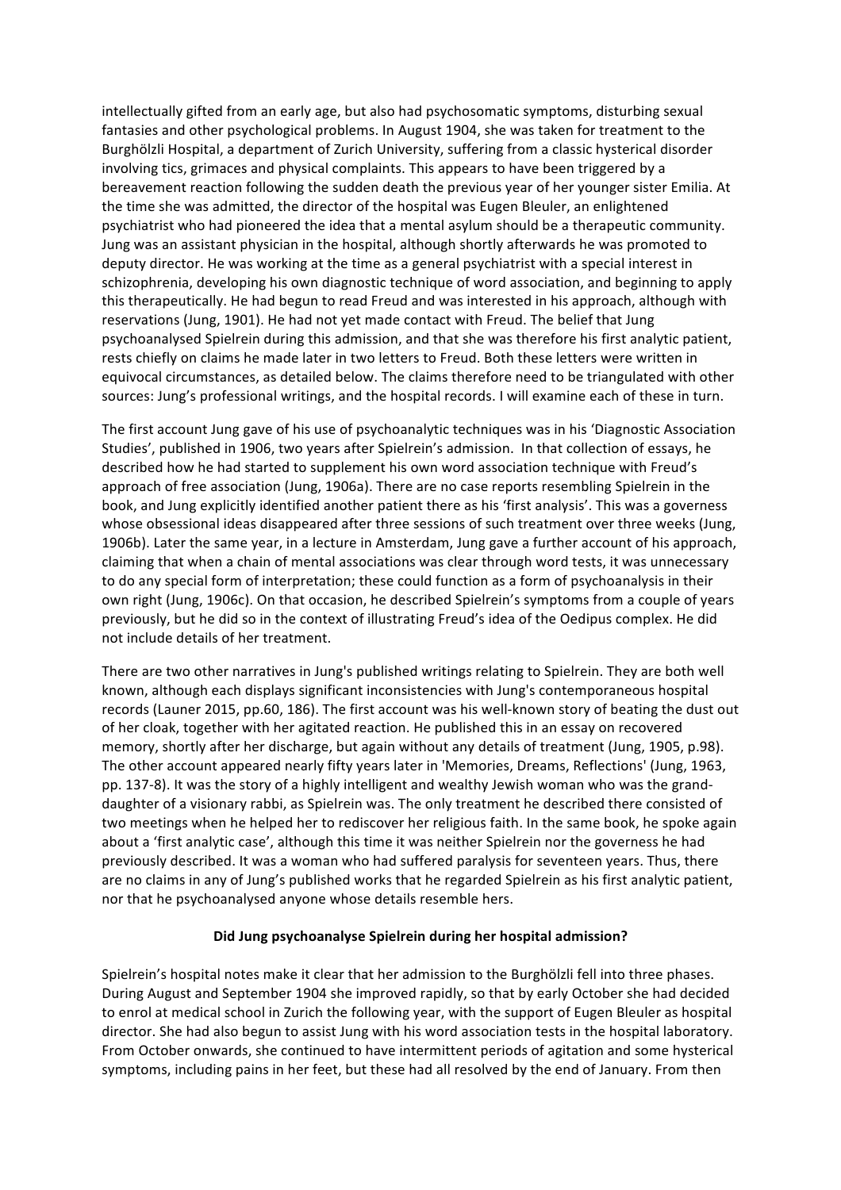intellectually gifted from an early age, but also had psychosomatic symptoms, disturbing sexual fantasies and other psychological problems. In August 1904, she was taken for treatment to the Burghölzli Hospital, a department of Zurich University, suffering from a classic hysterical disorder involving tics, grimaces and physical complaints. This appears to have been triggered by a bereavement reaction following the sudden death the previous year of her younger sister Emilia. At the time she was admitted, the director of the hospital was Eugen Bleuler, an enlightened psychiatrist who had pioneered the idea that a mental asylum should be a therapeutic community. Jung was an assistant physician in the hospital, although shortly afterwards he was promoted to deputy director. He was working at the time as a general psychiatrist with a special interest in schizophrenia, developing his own diagnostic technique of word association, and beginning to apply this therapeutically. He had begun to read Freud and was interested in his approach, although with reservations (Jung, 1901). He had not yet made contact with Freud. The belief that Jung psychoanalysed Spielrein during this admission, and that she was therefore his first analytic patient, rests chiefly on claims he made later in two letters to Freud. Both these letters were written in equivocal circumstances, as detailed below. The claims therefore need to be triangulated with other sources: Jung's professional writings, and the hospital records. I will examine each of these in turn.

The first account Jung gave of his use of psychoanalytic techniques was in his 'Diagnostic Association Studies', published in 1906, two years after Spielrein's admission. In that collection of essays, he described how he had started to supplement his own word association technique with Freud's approach of free association (Jung, 1906a). There are no case reports resembling Spielrein in the book, and Jung explicitly identified another patient there as his 'first analysis'. This was a governess whose obsessional ideas disappeared after three sessions of such treatment over three weeks (Jung, 1906b). Later the same year, in a lecture in Amsterdam, Jung gave a further account of his approach, claiming that when a chain of mental associations was clear through word tests, it was unnecessary to do any special form of interpretation; these could function as a form of psychoanalysis in their own right (Jung, 1906c). On that occasion, he described Spielrein's symptoms from a couple of years previously, but he did so in the context of illustrating Freud's idea of the Oedipus complex. He did not include details of her treatment.

There are two other narratives in Jung's published writings relating to Spielrein. They are both well known, although each displays significant inconsistencies with Jung's contemporaneous hospital records (Launer 2015, pp.60, 186). The first account was his well-known story of beating the dust out of her cloak, together with her agitated reaction. He published this in an essay on recovered memory, shortly after her discharge, but again without any details of treatment (Jung, 1905, p.98). The other account appeared nearly fifty years later in 'Memories, Dreams, Reflections' (Jung, 1963, pp. 137-8). It was the story of a highly intelligent and wealthy Jewish woman who was the granddaughter of a visionary rabbi, as Spielrein was. The only treatment he described there consisted of two meetings when he helped her to rediscover her religious faith. In the same book, he spoke again about a 'first analytic case', although this time it was neither Spielrein nor the governess he had previously described. It was a woman who had suffered paralysis for seventeen years. Thus, there are no claims in any of Jung's published works that he regarded Spielrein as his first analytic patient, nor that he psychoanalysed anyone whose details resemble hers.

# Did Jung psychoanalyse Spielrein during her hospital admission?

Spielrein's hospital notes make it clear that her admission to the Burghölzli fell into three phases. During August and September 1904 she improved rapidly, so that by early October she had decided to enrol at medical school in Zurich the following year, with the support of Eugen Bleuler as hospital director. She had also begun to assist Jung with his word association tests in the hospital laboratory. From October onwards, she continued to have intermittent periods of agitation and some hysterical symptoms, including pains in her feet, but these had all resolved by the end of January. From then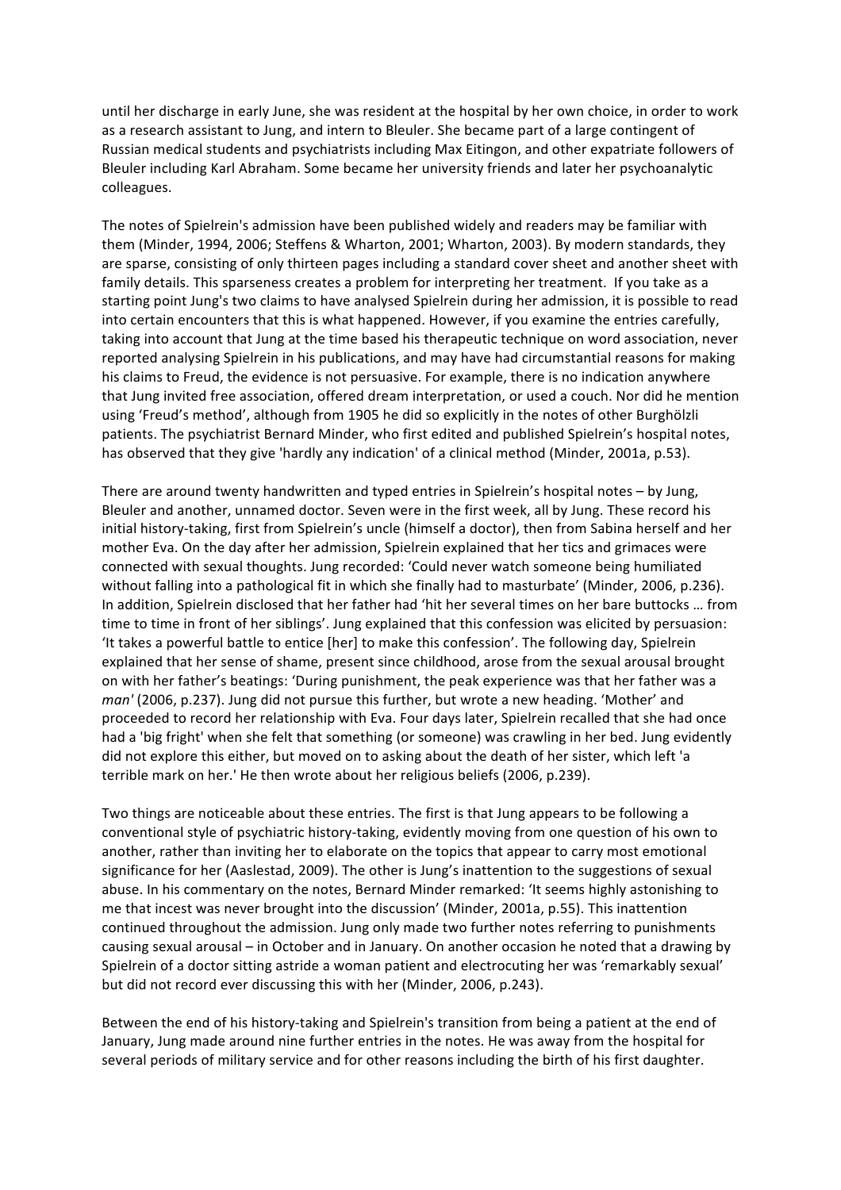until her discharge in early June, she was resident at the hospital by her own choice, in order to work as a research assistant to Jung, and intern to Bleuler. She became part of a large contingent of Russian medical students and psychiatrists including Max Eitingon, and other expatriate followers of Bleuler including Karl Abraham. Some became her university friends and later her psychoanalytic colleagues.

The notes of Spielrein's admission have been published widely and readers may be familiar with them (Minder, 1994, 2006; Steffens & Wharton, 2001; Wharton, 2003). By modern standards, they are sparse, consisting of only thirteen pages including a standard cover sheet and another sheet with family details. This sparseness creates a problem for interpreting her treatment. If you take as a starting point Jung's two claims to have analysed Spielrein during her admission, it is possible to read into certain encounters that this is what happened. However, if you examine the entries carefully, taking into account that Jung at the time based his therapeutic technique on word association, never reported analysing Spielrein in his publications, and may have had circumstantial reasons for making his claims to Freud, the evidence is not persuasive. For example, there is no indication anywhere that Jung invited free association, offered dream interpretation, or used a couch. Nor did he mention using 'Freud's method', although from 1905 he did so explicitly in the notes of other Burghölzli patients. The psychiatrist Bernard Minder, who first edited and published Spielrein's hospital notes, has observed that they give 'hardly any indication' of a clinical method (Minder, 2001a, p.53).

There are around twenty handwritten and typed entries in Spielrein's hospital notes – by Jung, Bleuler and another, unnamed doctor. Seven were in the first week, all by Jung. These record his initial history-taking, first from Spielrein's uncle (himself a doctor), then from Sabina herself and her mother Eva. On the day after her admission, Spielrein explained that her tics and grimaces were connected with sexual thoughts. Jung recorded: 'Could never watch someone being humiliated without falling into a pathological fit in which she finally had to masturbate' (Minder, 2006, p.236). In addition, Spielrein disclosed that her father had 'hit her several times on her bare buttocks ... from time to time in front of her siblings'. Jung explained that this confession was elicited by persuasion: 'It takes a powerful battle to entice [her] to make this confession'. The following day, Spielrein explained that her sense of shame, present since childhood, arose from the sexual arousal brought on with her father's beatings: 'During punishment, the peak experience was that her father was a *man'* (2006, p.237). Jung did not pursue this further, but wrote a new heading. 'Mother' and proceeded to record her relationship with Eva. Four days later, Spielrein recalled that she had once had a 'big fright' when she felt that something (or someone) was crawling in her bed. Jung evidently did not explore this either, but moved on to asking about the death of her sister, which left 'a terrible mark on her.' He then wrote about her religious beliefs (2006, p.239).

Two things are noticeable about these entries. The first is that Jung appears to be following a conventional style of psychiatric history-taking, evidently moving from one question of his own to another, rather than inviting her to elaborate on the topics that appear to carry most emotional significance for her (Aaslestad, 2009). The other is Jung's inattention to the suggestions of sexual abuse. In his commentary on the notes, Bernard Minder remarked: 'It seems highly astonishing to me that incest was never brought into the discussion' (Minder, 2001a, p.55). This inattention continued throughout the admission. Jung only made two further notes referring to punishments causing sexual arousal – in October and in January. On another occasion he noted that a drawing by Spielrein of a doctor sitting astride a woman patient and electrocuting her was 'remarkably sexual' but did not record ever discussing this with her (Minder, 2006, p.243).

Between the end of his history-taking and Spielrein's transition from being a patient at the end of January, Jung made around nine further entries in the notes. He was away from the hospital for several periods of military service and for other reasons including the birth of his first daughter.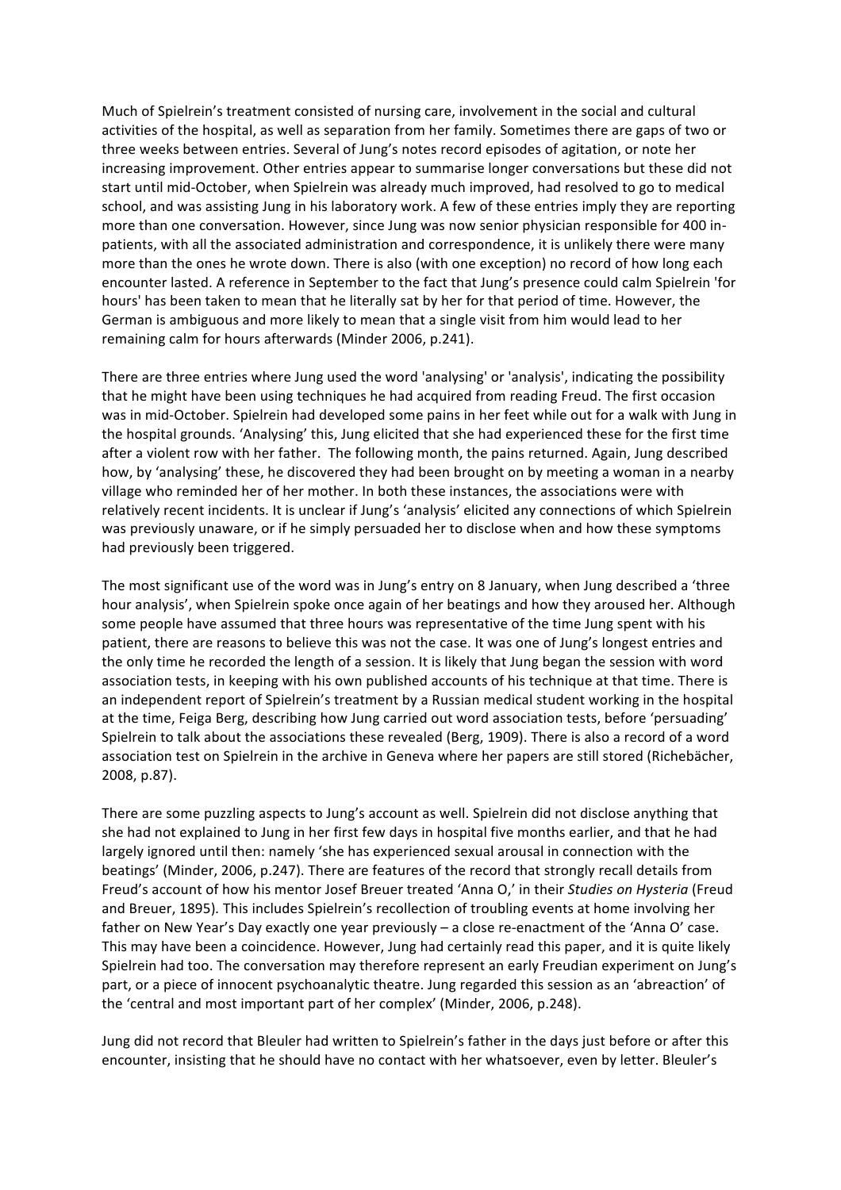Much of Spielrein's treatment consisted of nursing care, involvement in the social and cultural activities of the hospital, as well as separation from her family. Sometimes there are gaps of two or three weeks between entries. Several of Jung's notes record episodes of agitation, or note her increasing improvement. Other entries appear to summarise longer conversations but these did not start until mid-October, when Spielrein was already much improved, had resolved to go to medical school, and was assisting Jung in his laboratory work. A few of these entries imply they are reporting more than one conversation. However, since Jung was now senior physician responsible for 400 inpatients, with all the associated administration and correspondence, it is unlikely there were many more than the ones he wrote down. There is also (with one exception) no record of how long each encounter lasted. A reference in September to the fact that Jung's presence could calm Spielrein 'for hours' has been taken to mean that he literally sat by her for that period of time. However, the German is ambiguous and more likely to mean that a single visit from him would lead to her remaining calm for hours afterwards (Minder 2006, p.241).

There are three entries where Jung used the word 'analysing' or 'analysis', indicating the possibility that he might have been using techniques he had acquired from reading Freud. The first occasion was in mid-October. Spielrein had developed some pains in her feet while out for a walk with Jung in the hospital grounds. 'Analysing' this, Jung elicited that she had experienced these for the first time after a violent row with her father. The following month, the pains returned. Again, Jung described how, by 'analysing' these, he discovered they had been brought on by meeting a woman in a nearby village who reminded her of her mother. In both these instances, the associations were with relatively recent incidents. It is unclear if Jung's 'analysis' elicited any connections of which Spielrein was previously unaware, or if he simply persuaded her to disclose when and how these symptoms had previously been triggered.

The most significant use of the word was in Jung's entry on 8 January, when Jung described a 'three hour analysis', when Spielrein spoke once again of her beatings and how they aroused her. Although some people have assumed that three hours was representative of the time Jung spent with his patient, there are reasons to believe this was not the case. It was one of Jung's longest entries and the only time he recorded the length of a session. It is likely that Jung began the session with word association tests, in keeping with his own published accounts of his technique at that time. There is an independent report of Spielrein's treatment by a Russian medical student working in the hospital at the time, Feiga Berg, describing how Jung carried out word association tests, before 'persuading' Spielrein to talk about the associations these revealed (Berg, 1909). There is also a record of a word association test on Spielrein in the archive in Geneva where her papers are still stored (Richebächer, 2008, p.87).

There are some puzzling aspects to Jung's account as well. Spielrein did not disclose anything that she had not explained to Jung in her first few days in hospital five months earlier, and that he had largely ignored until then: namely 'she has experienced sexual arousal in connection with the beatings' (Minder, 2006, p.247). There are features of the record that strongly recall details from Freud's account of how his mentor Josef Breuer treated 'Anna O,' in their Studies on Hysteria (Freud and Breuer, 1895). This includes Spielrein's recollection of troubling events at home involving her father on New Year's Day exactly one year previously – a close re-enactment of the 'Anna O' case. This may have been a coincidence. However, Jung had certainly read this paper, and it is quite likely Spielrein had too. The conversation may therefore represent an early Freudian experiment on Jung's part, or a piece of innocent psychoanalytic theatre. Jung regarded this session as an 'abreaction' of the 'central and most important part of her complex' (Minder, 2006, p.248).

Jung did not record that Bleuler had written to Spielrein's father in the days just before or after this encounter, insisting that he should have no contact with her whatsoever, even by letter. Bleuler's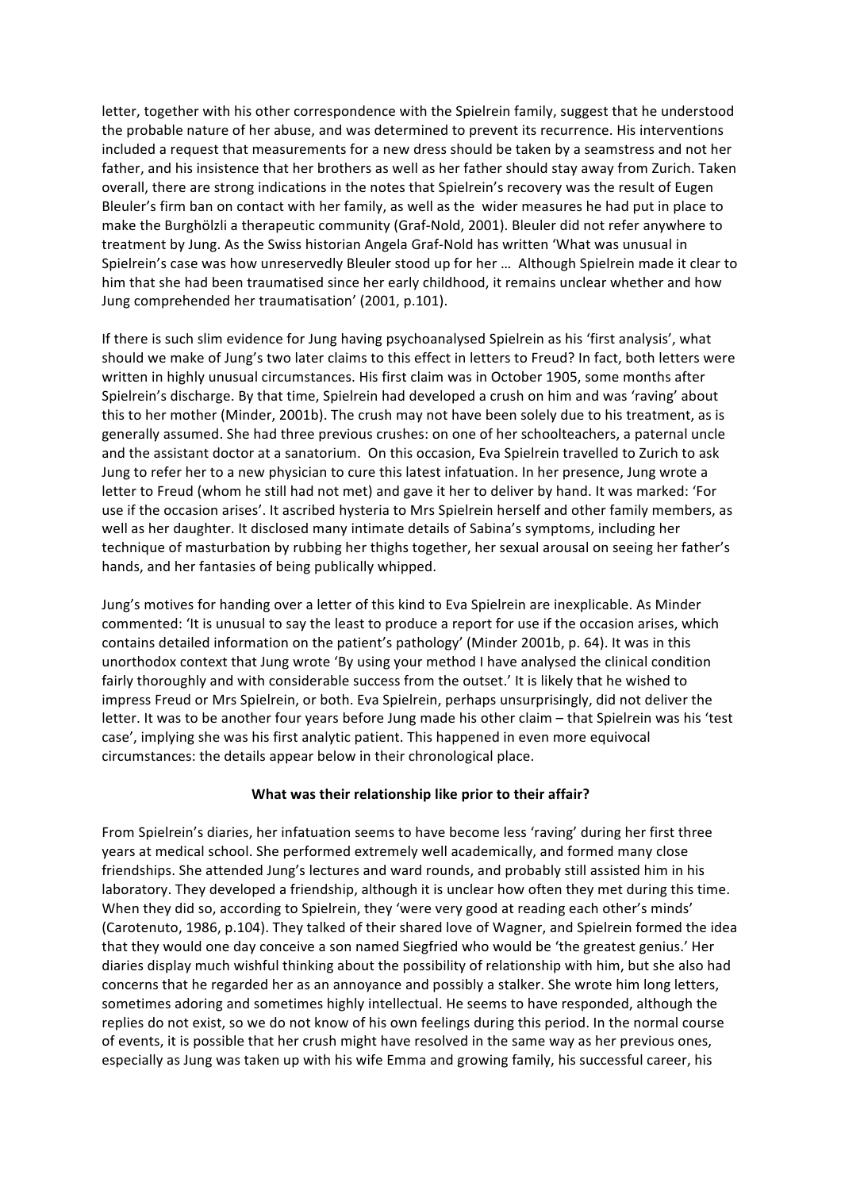letter, together with his other correspondence with the Spielrein family, suggest that he understood the probable nature of her abuse, and was determined to prevent its recurrence. His interventions included a request that measurements for a new dress should be taken by a seamstress and not her father, and his insistence that her brothers as well as her father should stay away from Zurich. Taken overall, there are strong indications in the notes that Spielrein's recovery was the result of Eugen Bleuler's firm ban on contact with her family, as well as the wider measures he had put in place to make the Burghölzli a therapeutic community (Graf-Nold, 2001). Bleuler did not refer anywhere to treatment by Jung. As the Swiss historian Angela Graf-Nold has written 'What was unusual in Spielrein's case was how unreservedly Bleuler stood up for her ... Although Spielrein made it clear to him that she had been traumatised since her early childhood, it remains unclear whether and how Jung comprehended her traumatisation' (2001, p.101).

If there is such slim evidence for Jung having psychoanalysed Spielrein as his 'first analysis', what should we make of Jung's two later claims to this effect in letters to Freud? In fact, both letters were written in highly unusual circumstances. His first claim was in October 1905, some months after Spielrein's discharge. By that time, Spielrein had developed a crush on him and was 'raving' about this to her mother (Minder, 2001b). The crush may not have been solely due to his treatment, as is generally assumed. She had three previous crushes: on one of her schoolteachers, a paternal uncle and the assistant doctor at a sanatorium. On this occasion, Eva Spielrein travelled to Zurich to ask Jung to refer her to a new physician to cure this latest infatuation. In her presence, Jung wrote a letter to Freud (whom he still had not met) and gave it her to deliver by hand. It was marked: 'For use if the occasion arises'. It ascribed hysteria to Mrs Spielrein herself and other family members, as well as her daughter. It disclosed many intimate details of Sabina's symptoms, including her technique of masturbation by rubbing her thighs together, her sexual arousal on seeing her father's hands, and her fantasies of being publically whipped.

Jung's motives for handing over a letter of this kind to Eva Spielrein are inexplicable. As Minder commented: 'It is unusual to say the least to produce a report for use if the occasion arises, which contains detailed information on the patient's pathology' (Minder 2001b, p. 64). It was in this unorthodox context that Jung wrote 'By using your method I have analysed the clinical condition fairly thoroughly and with considerable success from the outset.' It is likely that he wished to impress Freud or Mrs Spielrein, or both. Eva Spielrein, perhaps unsurprisingly, did not deliver the letter. It was to be another four years before Jung made his other claim - that Spielrein was his 'test case', implying she was his first analytic patient. This happened in even more equivocal circumstances: the details appear below in their chronological place.

# **What was their relationship like prior to their affair?**

From Spielrein's diaries, her infatuation seems to have become less 'raving' during her first three years at medical school. She performed extremely well academically, and formed many close friendships. She attended Jung's lectures and ward rounds, and probably still assisted him in his laboratory. They developed a friendship, although it is unclear how often they met during this time. When they did so, according to Spielrein, they 'were very good at reading each other's minds' (Carotenuto, 1986, p.104). They talked of their shared love of Wagner, and Spielrein formed the idea that they would one day conceive a son named Siegfried who would be 'the greatest genius.' Her diaries display much wishful thinking about the possibility of relationship with him, but she also had concerns that he regarded her as an annoyance and possibly a stalker. She wrote him long letters, sometimes adoring and sometimes highly intellectual. He seems to have responded, although the replies do not exist, so we do not know of his own feelings during this period. In the normal course of events, it is possible that her crush might have resolved in the same way as her previous ones, especially as Jung was taken up with his wife Emma and growing family, his successful career, his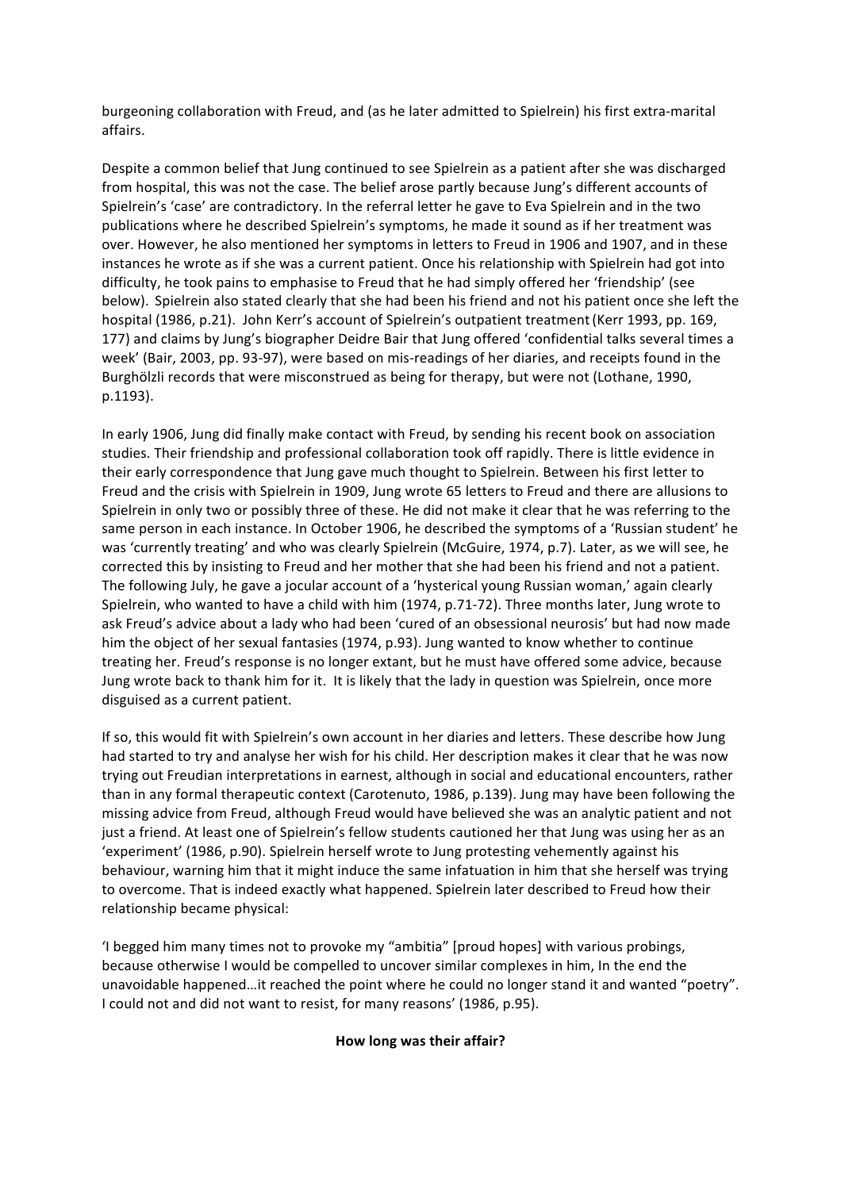burgeoning collaboration with Freud, and (as he later admitted to Spielrein) his first extra-marital affairs. 

Despite a common belief that Jung continued to see Spielrein as a patient after she was discharged from hospital, this was not the case. The belief arose partly because Jung's different accounts of Spielrein's 'case' are contradictory. In the referral letter he gave to Eva Spielrein and in the two publications where he described Spielrein's symptoms, he made it sound as if her treatment was over. However, he also mentioned her symptoms in letters to Freud in 1906 and 1907, and in these instances he wrote as if she was a current patient. Once his relationship with Spielrein had got into difficulty, he took pains to emphasise to Freud that he had simply offered her 'friendship' (see below). Spielrein also stated clearly that she had been his friend and not his patient once she left the hospital (1986, p.21). John Kerr's account of Spielrein's outpatient treatment (Kerr 1993, pp. 169, 177) and claims by Jung's biographer Deidre Bair that Jung offered 'confidential talks several times a week' (Bair, 2003, pp. 93-97), were based on mis-readings of her diaries, and receipts found in the Burghölzli records that were misconstrued as being for therapy, but were not (Lothane, 1990, p.1193).

In early 1906, Jung did finally make contact with Freud, by sending his recent book on association studies. Their friendship and professional collaboration took off rapidly. There is little evidence in their early correspondence that Jung gave much thought to Spielrein. Between his first letter to Freud and the crisis with Spielrein in 1909, Jung wrote 65 letters to Freud and there are allusions to Spielrein in only two or possibly three of these. He did not make it clear that he was referring to the same person in each instance. In October 1906, he described the symptoms of a 'Russian student' he was 'currently treating' and who was clearly Spielrein (McGuire, 1974, p.7). Later, as we will see, he corrected this by insisting to Freud and her mother that she had been his friend and not a patient. The following July, he gave a jocular account of a 'hysterical young Russian woman,' again clearly Spielrein, who wanted to have a child with him (1974, p.71-72). Three months later, Jung wrote to ask Freud's advice about a lady who had been 'cured of an obsessional neurosis' but had now made him the object of her sexual fantasies (1974, p.93). Jung wanted to know whether to continue treating her. Freud's response is no longer extant, but he must have offered some advice, because Jung wrote back to thank him for it. It is likely that the lady in question was Spielrein, once more disguised as a current patient.

If so, this would fit with Spielrein's own account in her diaries and letters. These describe how Jung had started to try and analyse her wish for his child. Her description makes it clear that he was now trying out Freudian interpretations in earnest, although in social and educational encounters, rather than in any formal therapeutic context (Carotenuto, 1986, p.139). Jung may have been following the missing advice from Freud, although Freud would have believed she was an analytic patient and not just a friend. At least one of Spielrein's fellow students cautioned her that Jung was using her as an 'experiment' (1986, p.90). Spielrein herself wrote to Jung protesting vehemently against his behaviour, warning him that it might induce the same infatuation in him that she herself was trying to overcome. That is indeed exactly what happened. Spielrein later described to Freud how their relationship became physical:

'I begged him many times not to provoke my "ambitia" [proud hopes] with various probings, because otherwise I would be compelled to uncover similar complexes in him, In the end the unavoidable happened...it reached the point where he could no longer stand it and wanted "poetry". I could not and did not want to resist, for many reasons' (1986, p.95).

# **How long was their affair?**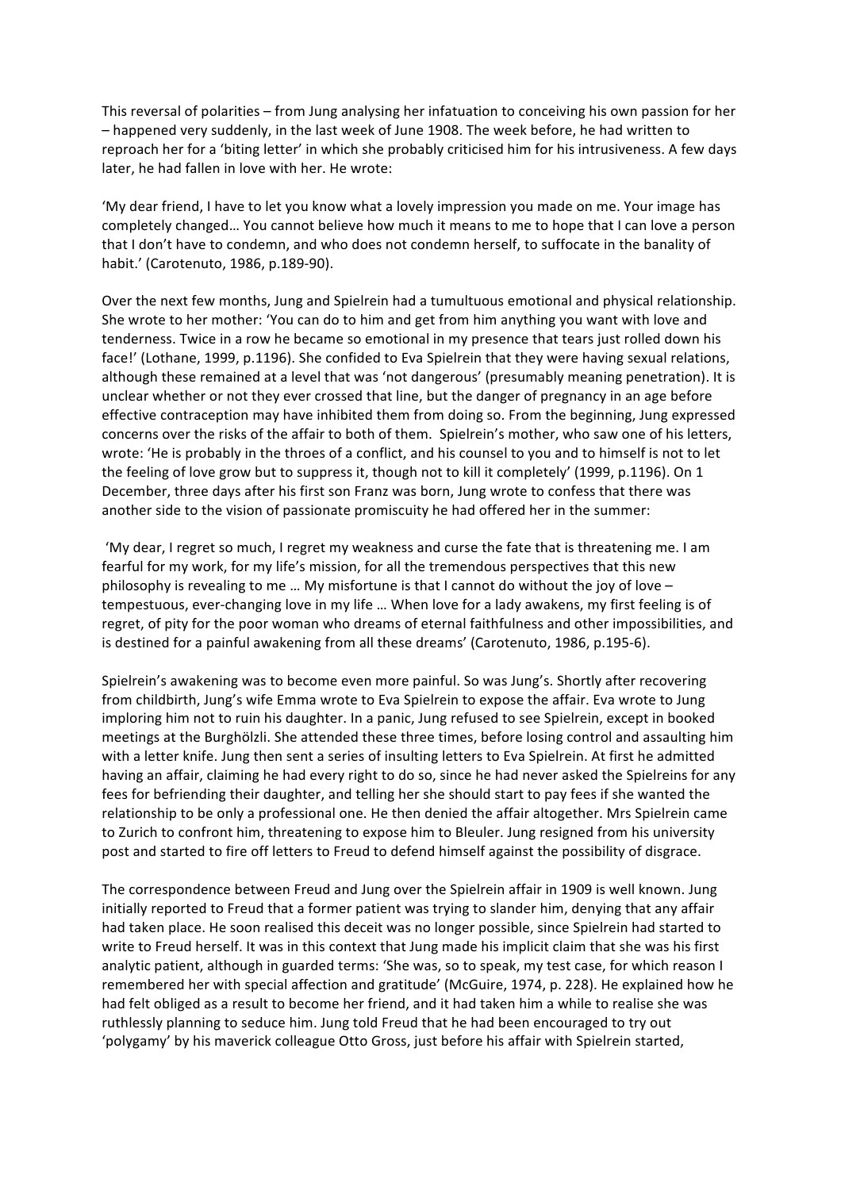This reversal of polarities – from Jung analysing her infatuation to conceiving his own passion for her - happened very suddenly, in the last week of June 1908. The week before, he had written to reproach her for a 'biting letter' in which she probably criticised him for his intrusiveness. A few days later, he had fallen in love with her. He wrote:

'My dear friend, I have to let you know what a lovely impression you made on me. Your image has completely changed... You cannot believe how much it means to me to hope that I can love a person that I don't have to condemn, and who does not condemn herself, to suffocate in the banality of habit.' (Carotenuto, 1986, p.189-90).

Over the next few months, Jung and Spielrein had a tumultuous emotional and physical relationship. She wrote to her mother: 'You can do to him and get from him anything you want with love and tenderness. Twice in a row he became so emotional in my presence that tears just rolled down his face!' (Lothane, 1999, p.1196). She confided to Eva Spielrein that they were having sexual relations, although these remained at a level that was 'not dangerous' (presumably meaning penetration). It is unclear whether or not they ever crossed that line, but the danger of pregnancy in an age before effective contraception may have inhibited them from doing so. From the beginning, Jung expressed concerns over the risks of the affair to both of them. Spielrein's mother, who saw one of his letters, wrote: 'He is probably in the throes of a conflict, and his counsel to you and to himself is not to let the feeling of love grow but to suppress it, though not to kill it completely' (1999, p.1196). On 1 December, three days after his first son Franz was born, Jung wrote to confess that there was another side to the vision of passionate promiscuity he had offered her in the summer:

'My dear, I regret so much, I regret my weakness and curse the fate that is threatening me. I am fearful for my work, for my life's mission, for all the tremendous perspectives that this new philosophy is revealing to me ... My misfortune is that I cannot do without the joy of love – tempestuous, ever-changing love in my life ... When love for a lady awakens, my first feeling is of regret, of pity for the poor woman who dreams of eternal faithfulness and other impossibilities, and is destined for a painful awakening from all these dreams' (Carotenuto, 1986, p.195-6).

Spielrein's awakening was to become even more painful. So was Jung's. Shortly after recovering from childbirth, Jung's wife Emma wrote to Eva Spielrein to expose the affair. Eva wrote to Jung imploring him not to ruin his daughter. In a panic, Jung refused to see Spielrein, except in booked meetings at the Burghölzli. She attended these three times, before losing control and assaulting him with a letter knife. Jung then sent a series of insulting letters to Eva Spielrein. At first he admitted having an affair, claiming he had every right to do so, since he had never asked the Spielreins for any fees for befriending their daughter, and telling her she should start to pay fees if she wanted the relationship to be only a professional one. He then denied the affair altogether. Mrs Spielrein came to Zurich to confront him, threatening to expose him to Bleuler. Jung resigned from his university post and started to fire off letters to Freud to defend himself against the possibility of disgrace.

The correspondence between Freud and Jung over the Spielrein affair in 1909 is well known. Jung initially reported to Freud that a former patient was trying to slander him, denying that any affair had taken place. He soon realised this deceit was no longer possible, since Spielrein had started to write to Freud herself. It was in this context that Jung made his implicit claim that she was his first analytic patient, although in guarded terms: 'She was, so to speak, my test case, for which reason I remembered her with special affection and gratitude' (McGuire, 1974, p. 228). He explained how he had felt obliged as a result to become her friend, and it had taken him a while to realise she was ruthlessly planning to seduce him. Jung told Freud that he had been encouraged to try out 'polygamy' by his maverick colleague Otto Gross, just before his affair with Spielrein started,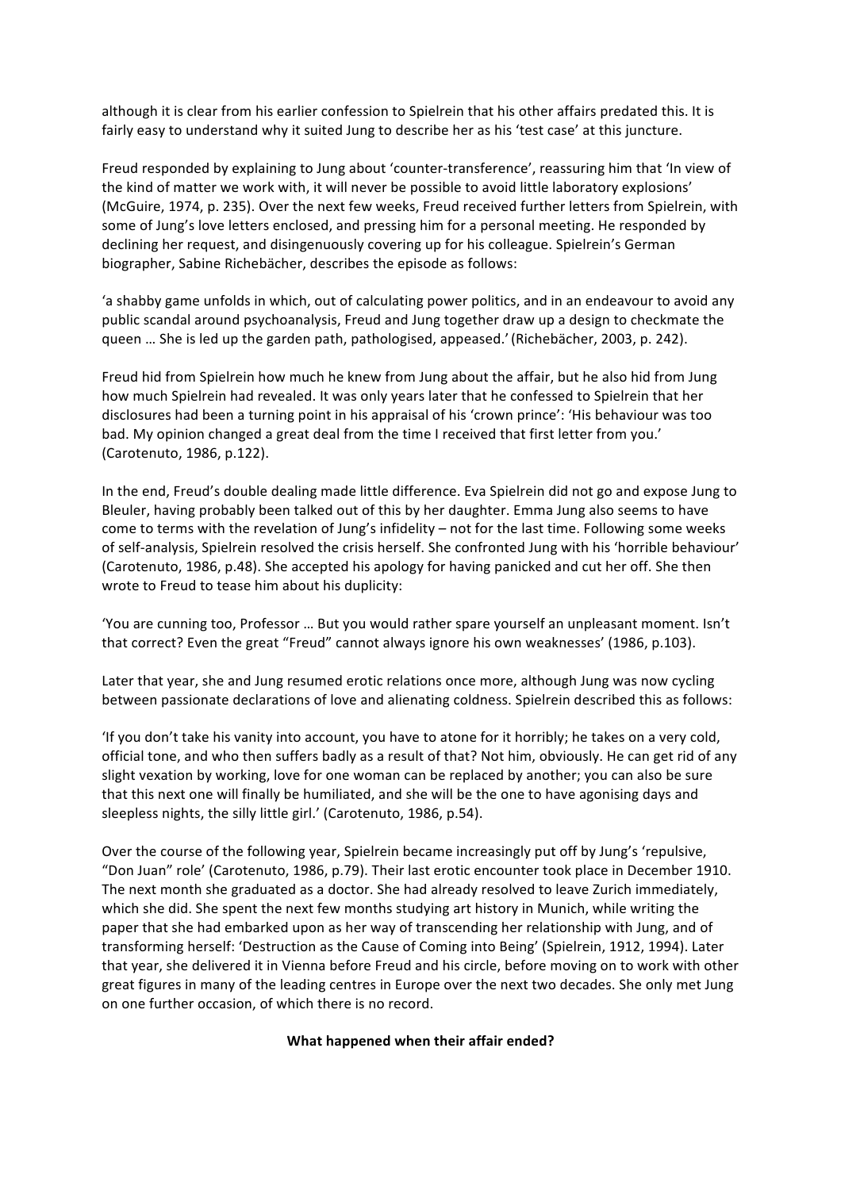although it is clear from his earlier confession to Spielrein that his other affairs predated this. It is fairly easy to understand why it suited Jung to describe her as his 'test case' at this juncture.

Freud responded by explaining to Jung about 'counter-transference', reassuring him that 'In view of the kind of matter we work with, it will never be possible to avoid little laboratory explosions' (McGuire, 1974, p. 235). Over the next few weeks, Freud received further letters from Spielrein, with some of Jung's love letters enclosed, and pressing him for a personal meeting. He responded by declining her request, and disingenuously covering up for his colleague. Spielrein's German biographer, Sabine Richebächer, describes the episode as follows:

'a shabby game unfolds in which, out of calculating power politics, and in an endeavour to avoid any public scandal around psychoanalysis, Freud and Jung together draw up a design to checkmate the queen ... She is led up the garden path, pathologised, appeased.' (Richebächer, 2003, p. 242).

Freud hid from Spielrein how much he knew from Jung about the affair, but he also hid from Jung how much Spielrein had revealed. It was only vears later that he confessed to Spielrein that her disclosures had been a turning point in his appraisal of his 'crown prince': 'His behaviour was too bad. My opinion changed a great deal from the time I received that first letter from you.' (Carotenuto, 1986, p.122).

In the end, Freud's double dealing made little difference. Eva Spielrein did not go and expose Jung to Bleuler, having probably been talked out of this by her daughter. Emma Jung also seems to have come to terms with the revelation of Jung's infidelity – not for the last time. Following some weeks of self-analysis, Spielrein resolved the crisis herself. She confronted Jung with his 'horrible behaviour' (Carotenuto, 1986, p.48). She accepted his apology for having panicked and cut her off. She then wrote to Freud to tease him about his duplicity:

'You are cunning too, Professor ... But you would rather spare yourself an unpleasant moment. Isn't that correct? Even the great "Freud" cannot always ignore his own weaknesses' (1986, p.103).

Later that year, she and Jung resumed erotic relations once more, although Jung was now cycling between passionate declarations of love and alienating coldness. Spielrein described this as follows:

'If you don't take his vanity into account, you have to atone for it horribly; he takes on a very cold, official tone, and who then suffers badly as a result of that? Not him, obviously. He can get rid of any slight vexation by working, love for one woman can be replaced by another; you can also be sure that this next one will finally be humiliated, and she will be the one to have agonising days and sleepless nights, the silly little girl.' (Carotenuto, 1986, p.54).

Over the course of the following year, Spielrein became increasingly put off by Jung's 'repulsive, "Don Juan" role' (Carotenuto, 1986, p.79). Their last erotic encounter took place in December 1910. The next month she graduated as a doctor. She had already resolved to leave Zurich immediately, which she did. She spent the next few months studying art history in Munich, while writing the paper that she had embarked upon as her way of transcending her relationship with Jung, and of transforming herself: 'Destruction as the Cause of Coming into Being' (Spielrein, 1912, 1994). Later that year, she delivered it in Vienna before Freud and his circle, before moving on to work with other great figures in many of the leading centres in Europe over the next two decades. She only met Jung on one further occasion, of which there is no record.

#### **What happened when their affair ended?**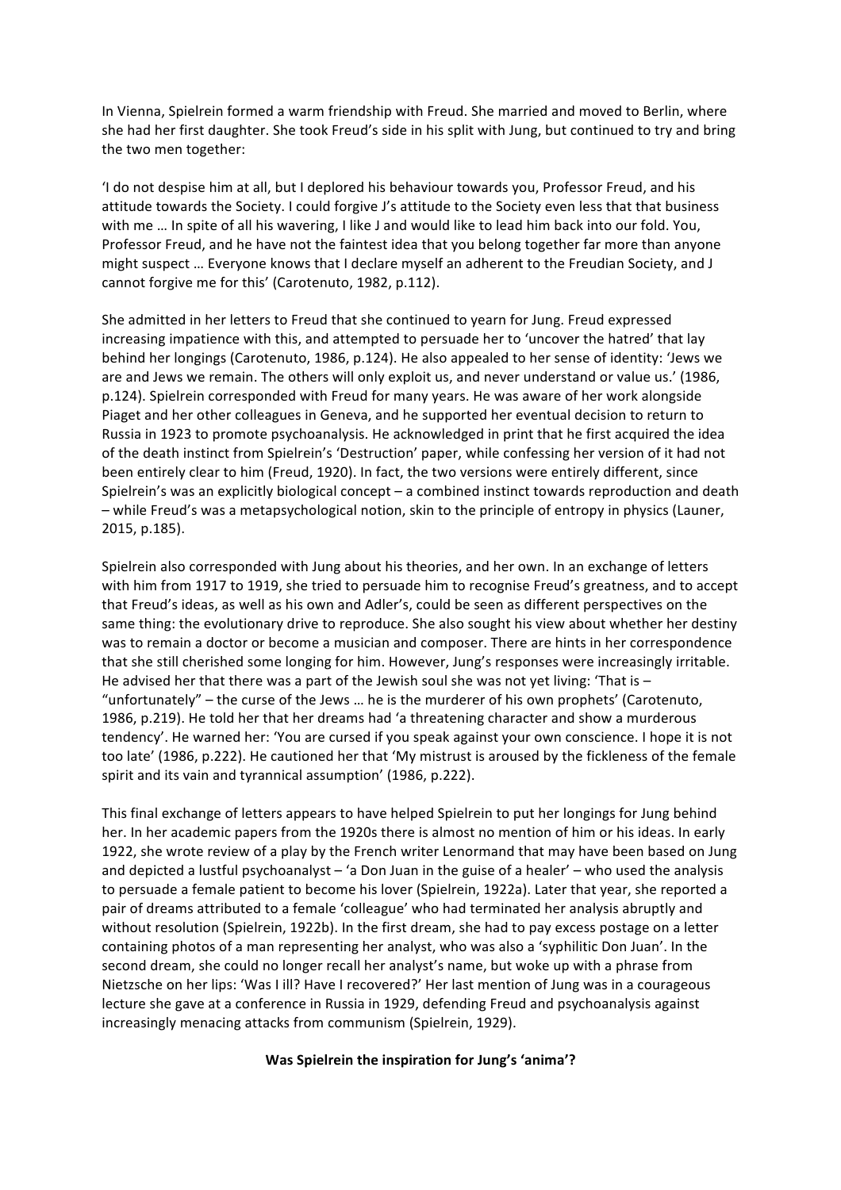In Vienna, Spielrein formed a warm friendship with Freud. She married and moved to Berlin, where she had her first daughter. She took Freud's side in his split with Jung, but continued to try and bring the two men together:

I do not despise him at all, but I deplored his behaviour towards you, Professor Freud, and his attitude towards the Society. I could forgive J's attitude to the Society even less that that business with me ... In spite of all his wavering, I like J and would like to lead him back into our fold. You, Professor Freud, and he have not the faintest idea that you belong together far more than anyone might suspect ... Everyone knows that I declare myself an adherent to the Freudian Society, and J cannot forgive me for this' (Carotenuto, 1982, p.112).

She admitted in her letters to Freud that she continued to yearn for Jung. Freud expressed increasing impatience with this, and attempted to persuade her to 'uncover the hatred' that lay behind her longings (Carotenuto, 1986, p.124). He also appealed to her sense of identity: 'Jews we are and Jews we remain. The others will only exploit us, and never understand or value us.' (1986, p.124). Spielrein corresponded with Freud for many years. He was aware of her work alongside Piaget and her other colleagues in Geneva, and he supported her eventual decision to return to Russia in 1923 to promote psychoanalysis. He acknowledged in print that he first acquired the idea of the death instinct from Spielrein's 'Destruction' paper, while confessing her version of it had not been entirely clear to him (Freud, 1920). In fact, the two versions were entirely different, since Spielrein's was an explicitly biological concept  $-$  a combined instinct towards reproduction and death - while Freud's was a metapsychological notion, skin to the principle of entropy in physics (Launer, 2015, p.185).

Spielrein also corresponded with Jung about his theories, and her own. In an exchange of letters with him from 1917 to 1919, she tried to persuade him to recognise Freud's greatness, and to accept that Freud's ideas, as well as his own and Adler's, could be seen as different perspectives on the same thing: the evolutionary drive to reproduce. She also sought his view about whether her destiny was to remain a doctor or become a musician and composer. There are hints in her correspondence that she still cherished some longing for him. However, Jung's responses were increasingly irritable. He advised her that there was a part of the Jewish soul she was not yet living: 'That is  $-$ "unfortunately" – the curse of the Jews ... he is the murderer of his own prophets' (Carotenuto, 1986, p.219). He told her that her dreams had 'a threatening character and show a murderous tendency'. He warned her: 'You are cursed if you speak against your own conscience. I hope it is not too late' (1986, p.222). He cautioned her that 'My mistrust is aroused by the fickleness of the female spirit and its vain and tyrannical assumption' (1986, p.222).

This final exchange of letters appears to have helped Spielrein to put her longings for Jung behind her. In her academic papers from the 1920s there is almost no mention of him or his ideas. In early 1922, she wrote review of a play by the French writer Lenormand that may have been based on Jung and depicted a lustful psychoanalyst – 'a Don Juan in the guise of a healer' – who used the analysis to persuade a female patient to become his lover (Spielrein, 1922a). Later that year, she reported a pair of dreams attributed to a female 'colleague' who had terminated her analysis abruptly and without resolution (Spielrein, 1922b). In the first dream, she had to pay excess postage on a letter containing photos of a man representing her analyst, who was also a 'syphilitic Don Juan'. In the second dream, she could no longer recall her analyst's name, but woke up with a phrase from Nietzsche on her lips: 'Was I ill? Have I recovered?' Her last mention of Jung was in a courageous lecture she gave at a conference in Russia in 1929, defending Freud and psychoanalysis against increasingly menacing attacks from communism (Spielrein, 1929).

#### **Was Spielrein the inspiration for Jung's 'anima'?**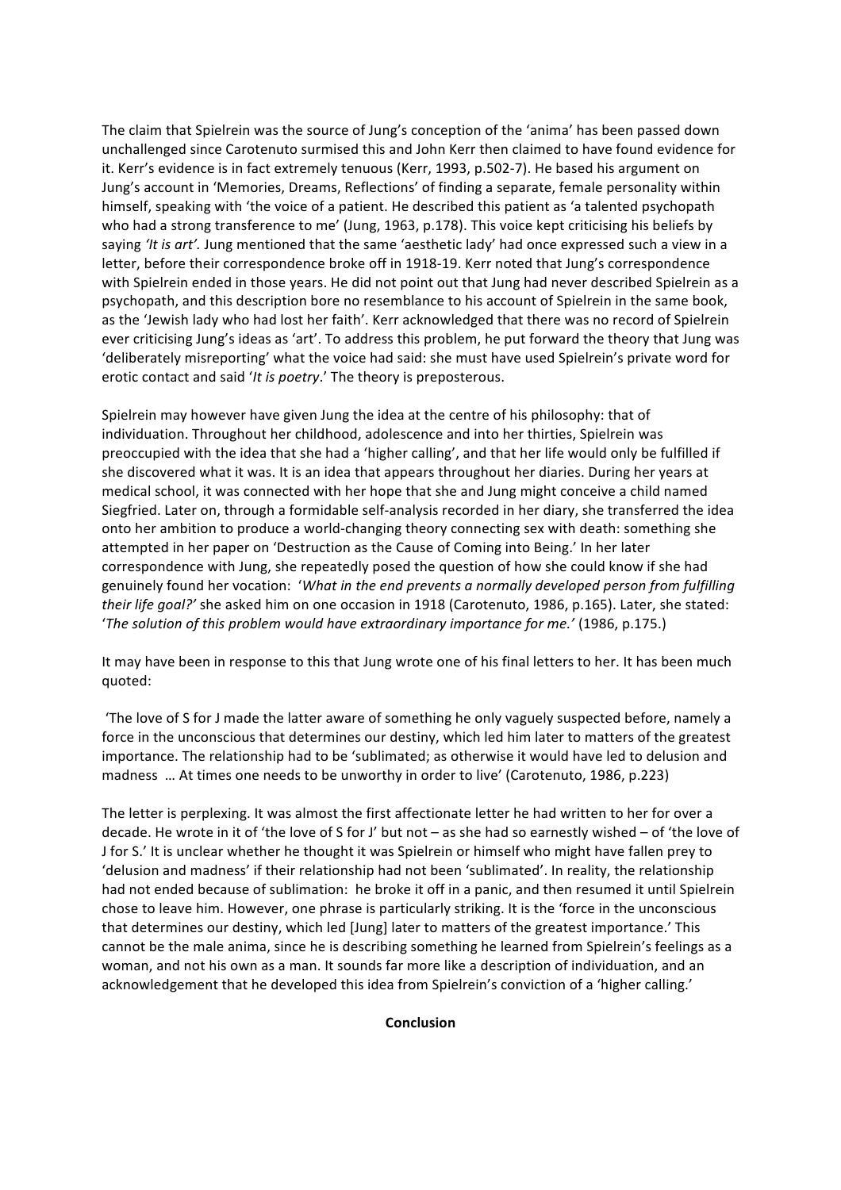The claim that Spielrein was the source of Jung's conception of the 'anima' has been passed down unchallenged since Carotenuto surmised this and John Kerr then claimed to have found evidence for it. Kerr's evidence is in fact extremely tenuous (Kerr, 1993, p.502-7). He based his argument on Jung's account in 'Memories, Dreams, Reflections' of finding a separate, female personality within himself, speaking with 'the voice of a patient. He described this patient as 'a talented psychopath who had a strong transference to me' (Jung, 1963, p.178). This voice kept criticising his beliefs by saying 'It is art'. Jung mentioned that the same 'aesthetic lady' had once expressed such a view in a letter, before their correspondence broke off in 1918-19. Kerr noted that Jung's correspondence with Spielrein ended in those years. He did not point out that Jung had never described Spielrein as a psychopath, and this description bore no resemblance to his account of Spielrein in the same book, as the 'Jewish lady who had lost her faith'. Kerr acknowledged that there was no record of Spielrein ever criticising Jung's ideas as 'art'. To address this problem, he put forward the theory that Jung was 'deliberately misreporting' what the voice had said: she must have used Spielrein's private word for erotic contact and said '*It is poetry*.' The theory is preposterous.

Spielrein may however have given Jung the idea at the centre of his philosophy: that of individuation. Throughout her childhood, adolescence and into her thirties, Spielrein was preoccupied with the idea that she had a 'higher calling', and that her life would only be fulfilled if she discovered what it was. It is an idea that appears throughout her diaries. During her years at medical school, it was connected with her hope that she and Jung might conceive a child named Siegfried. Later on, through a formidable self-analysis recorded in her diary, she transferred the idea onto her ambition to produce a world-changing theory connecting sex with death: something she attempted in her paper on 'Destruction as the Cause of Coming into Being.' In her later correspondence with Jung, she repeatedly posed the question of how she could know if she had genuinely found her vocation: 'What in the end prevents a normally developed person from fulfilling *their life goal?'* she asked him on one occasion in 1918 (Carotenuto, 1986, p.165). Later, she stated: 'The solution of this problem would have extraordinary importance for me.' (1986, p.175.)

It may have been in response to this that Jung wrote one of his final letters to her. It has been much quoted:

'The love of S for J made the latter aware of something he only vaguely suspected before, namely a force in the unconscious that determines our destiny, which led him later to matters of the greatest importance. The relationship had to be 'sublimated; as otherwise it would have led to delusion and madness ... At times one needs to be unworthy in order to live' (Carotenuto, 1986, p.223)

The letter is perplexing. It was almost the first affectionate letter he had written to her for over a decade. He wrote in it of 'the love of S for J' but not – as she had so earnestly wished – of 'the love of J for S.' It is unclear whether he thought it was Spielrein or himself who might have fallen prey to 'delusion and madness' if their relationship had not been 'sublimated'. In reality, the relationship had not ended because of sublimation: he broke it off in a panic, and then resumed it until Spielrein chose to leave him. However, one phrase is particularly striking. It is the 'force in the unconscious that determines our destiny, which led [Jung] later to matters of the greatest importance.' This cannot be the male anima, since he is describing something he learned from Spielrein's feelings as a woman, and not his own as a man. It sounds far more like a description of individuation, and an acknowledgement that he developed this idea from Spielrein's conviction of a 'higher calling.'

**Conclusion**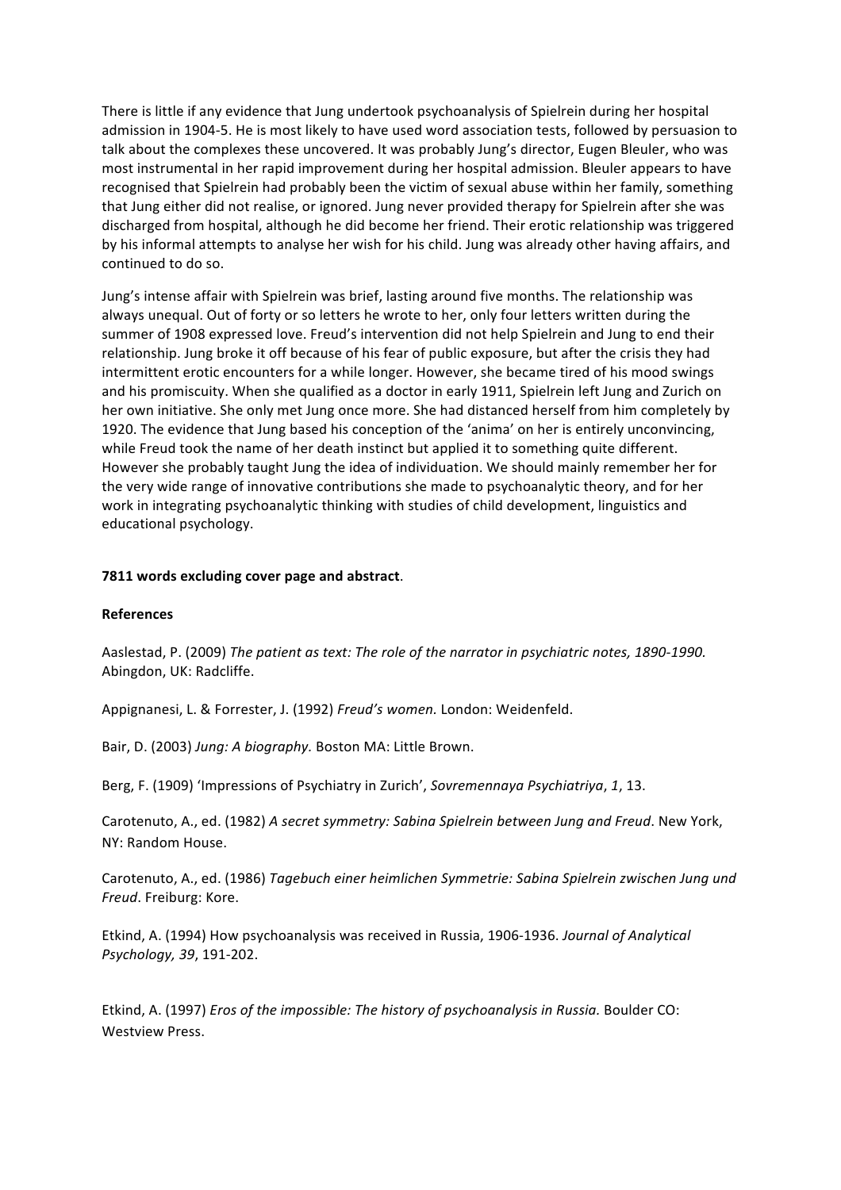There is little if any evidence that Jung undertook psychoanalysis of Spielrein during her hospital admission in 1904-5. He is most likely to have used word association tests, followed by persuasion to talk about the complexes these uncovered. It was probably Jung's director, Eugen Bleuler, who was most instrumental in her rapid improvement during her hospital admission. Bleuler appears to have recognised that Spielrein had probably been the victim of sexual abuse within her family, something that Jung either did not realise, or ignored. Jung never provided therapy for Spielrein after she was discharged from hospital, although he did become her friend. Their erotic relationship was triggered by his informal attempts to analyse her wish for his child. Jung was already other having affairs, and continued to do so.

Jung's intense affair with Spielrein was brief, lasting around five months. The relationship was always unequal. Out of forty or so letters he wrote to her, only four letters written during the summer of 1908 expressed love. Freud's intervention did not help Spielrein and Jung to end their relationship. Jung broke it off because of his fear of public exposure, but after the crisis they had intermittent erotic encounters for a while longer. However, she became tired of his mood swings and his promiscuity. When she qualified as a doctor in early 1911, Spielrein left Jung and Zurich on her own initiative. She only met Jung once more. She had distanced herself from him completely by 1920. The evidence that Jung based his conception of the 'anima' on her is entirely unconvincing, while Freud took the name of her death instinct but applied it to something quite different. However she probably taught Jung the idea of individuation. We should mainly remember her for the very wide range of innovative contributions she made to psychoanalytic theory, and for her work in integrating psychoanalytic thinking with studies of child development, linguistics and educational psychology.

#### **7811** words excluding cover page and abstract.

#### **References**

Aaslestad, P. (2009) The patient as text: The role of the narrator in psychiatric notes, 1890-1990. Abingdon, UK: Radcliffe.

Appignanesi, L. & Forrester, J. (1992) Freud's women. London: Weidenfeld.

Bair, D. (2003) Jung: A biography. Boston MA: Little Brown.

Berg, F. (1909) 'Impressions of Psychiatry in Zurich', Sovremennaya Psychiatriya, 1, 13.

Carotenuto, A., ed. (1982) A secret symmetry: Sabina Spielrein between Jung and Freud. New York, NY: Random House.

Carotenuto, A., ed. (1986) *Tagebuch einer heimlichen Symmetrie: Sabina Spielrein zwischen Jung und Freud*. Freiburg: Kore.

Etkind, A. (1994) How psychoanalysis was received in Russia, 1906-1936. *Journal of Analytical Psychology, 39*, 191-202.

Etkind, A. (1997) *Eros of the impossible: The history of psychoanalysis in Russia.* Boulder CO: Westview Press.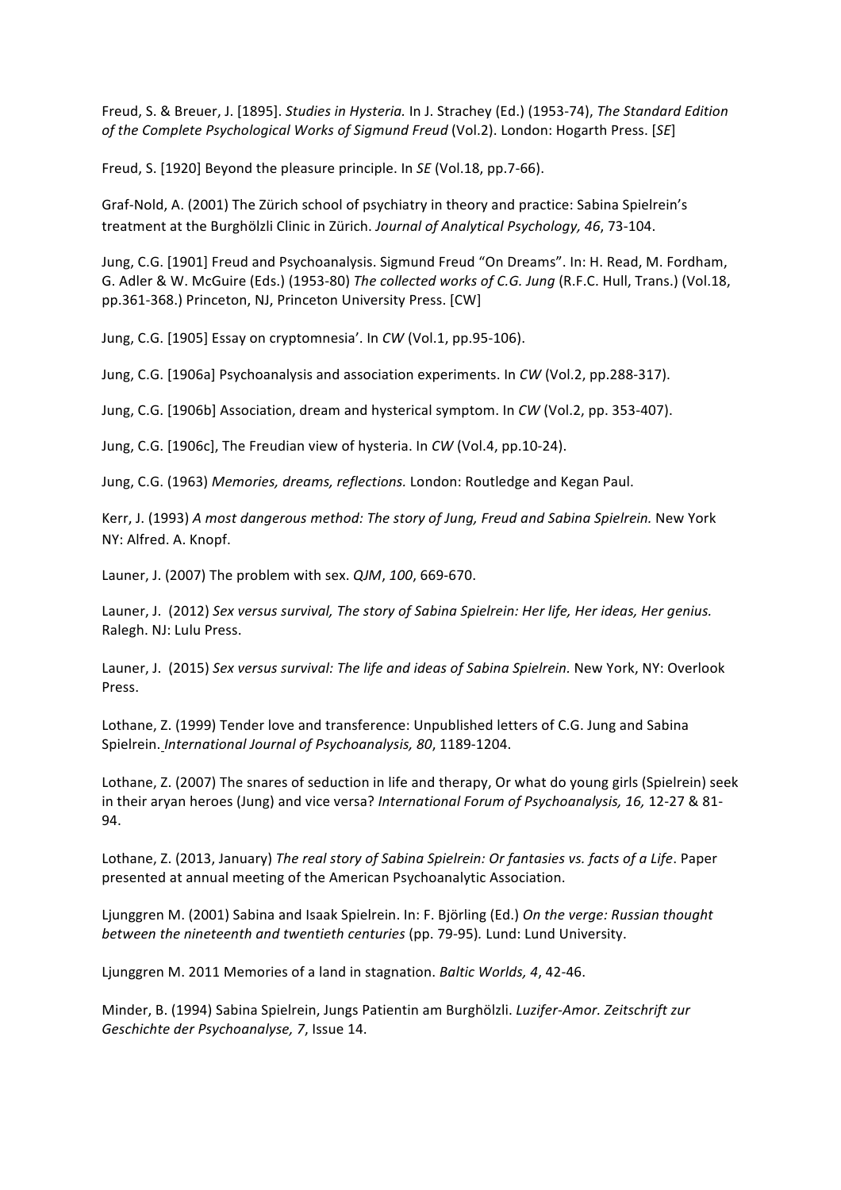Freud, S. & Breuer, J. [1895]. *Studies in Hysteria.* In J. Strachey (Ed.) (1953-74), *The Standard Edition* of the Complete Psychological Works of Sigmund Freud (Vol.2). London: Hogarth Press. [SE]

Freud, S. [1920] Beyond the pleasure principle. In *SE* (Vol.18, pp.7-66).

Graf-Nold, A. (2001) The Zürich school of psychiatry in theory and practice: Sabina Spielrein's treatment at the Burghölzli Clinic in Zürich. *Journal of Analytical Psychology, 46*, 73-104.

Jung, C.G. [1901] Freud and Psychoanalysis. Sigmund Freud "On Dreams". In: H. Read, M. Fordham, G. Adler & W. McGuire (Eds.) (1953-80) The collected works of C.G. Jung (R.F.C. Hull, Trans.) (Vol.18, pp.361-368.) Princeton, NJ, Princeton University Press. [CW]

Jung, C.G. [1905] Essay on cryptomnesia'. In *CW* (Vol.1, pp.95-106).

Jung, C.G. [1906a] Psychoanalysis and association experiments. In *CW* (Vol.2, pp.288-317).

Jung, C.G. [1906b] Association, dream and hysterical symptom. In *CW* (Vol.2, pp. 353-407).

Jung, C.G. [1906c], The Freudian view of hysteria. In *CW* (Vol.4, pp.10-24).

Jung, C.G. (1963) Memories, dreams, reflections. London: Routledge and Kegan Paul.

Kerr, J. (1993) A most dangerous method: The story of Jung, Freud and Sabina Spielrein. New York NY: Alfred. A. Knopf.

Launer, J. (2007) The problem with sex. *QJM*, 100, 669-670.

Launer, J. (2012) Sex versus survival, The story of Sabina Spielrein: Her life, Her ideas, Her genius. Ralegh. NJ: Lulu Press.

Launer, J. (2015) Sex versus survival: The life and ideas of Sabina Spielrein. New York, NY: Overlook Press.

Lothane, Z. (1999) Tender love and transference: Unpublished letters of C.G. Jung and Sabina Spielrein. *International Journal of Psychoanalysis, 80,* 1189-1204.

Lothane, Z. (2007) The snares of seduction in life and therapy, Or what do young girls (Spielrein) seek in their aryan heroes (Jung) and vice versa? International Forum of Psychoanalysis, 16, 12-27 & 81-94. 

Lothane, Z. (2013, January) The real story of Sabina Spielrein: Or fantasies vs. facts of a Life. Paper presented at annual meeting of the American Psychoanalytic Association.

Ljunggren M. (2001) Sabina and Isaak Spielrein. In: F. Björling (Ed.) On the verge: Russian thought *between the nineteenth and twentieth centuries* (pp. 79-95). Lund: Lund University.

Ljunggren M. 2011 Memories of a land in stagnation. *Baltic Worlds, 4*, 42-46.

Minder, B. (1994) Sabina Spielrein, Jungs Patientin am Burghölzli. *Luzifer-Amor. Zeitschrift zur Geschichte der Psychoanalyse, 7*, Issue 14.